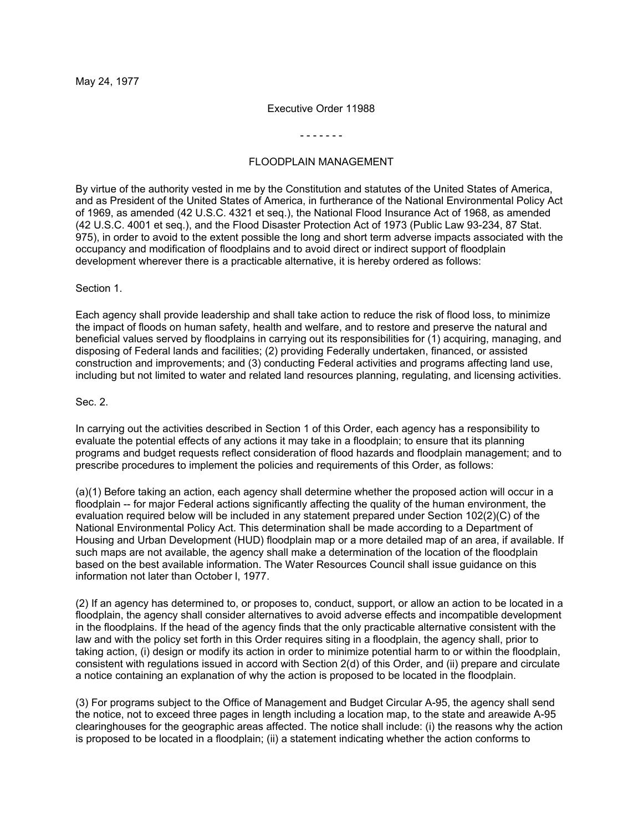#### Executive Order 11988

- - - - - - -

## FLOODPLAIN MANAGEMENT

By virtue of the authority vested in me by the Constitution and statutes of the United States of America, and as President of the United States of America, in furtherance of the National Environmental Policy Act of 1969, as amended (42 U.S.C. 4321 et seq.), the National Flood Insurance Act of 1968, as amended (42 U.S.C. 4001 et seq.), and the Flood Disaster Protection Act of 1973 (Public Law 93-234, 87 Stat. 975), in order to avoid to the extent possible the long and short term adverse impacts associated with the occupancy and modification of floodplains and to avoid direct or indirect support of floodplain development wherever there is a practicable alternative, it is hereby ordered as follows:

#### Section 1.

Each agency shall provide leadership and shall take action to reduce the risk of flood loss, to minimize the impact of floods on human safety, health and welfare, and to restore and preserve the natural and beneficial values served by floodplains in carrying out its responsibilities for (1) acquiring, managing, and disposing of Federal lands and facilities; (2) providing Federally undertaken, financed, or assisted construction and improvements; and (3) conducting Federal activities and programs affecting land use, including but not limited to water and related land resources planning, regulating, and licensing activities.

### Sec. 2.

In carrying out the activities described in Section 1 of this Order, each agency has a responsibility to evaluate the potential effects of any actions it may take in a floodplain; to ensure that its planning programs and budget requests reflect consideration of flood hazards and floodplain management; and to prescribe procedures to implement the policies and requirements of this Order, as follows:

(a)(1) Before taking an action, each agency shall determine whether the proposed action will occur in a floodplain -- for major Federal actions significantly affecting the quality of the human environment, the evaluation required below will be included in any statement prepared under Section 102(2)(C) of the National Environmental Policy Act. This determination shall be made according to a Department of Housing and Urban Development (HUD) floodplain map or a more detailed map of an area, if available. If such maps are not available, the agency shall make a determination of the location of the floodplain based on the best available information. The Water Resources Council shall issue guidance on this information not later than October l, 1977.

(2) If an agency has determined to, or proposes to, conduct, support, or allow an action to be located in a floodplain, the agency shall consider alternatives to avoid adverse effects and incompatible development in the floodplains. If the head of the agency finds that the only practicable alternative consistent with the law and with the policy set forth in this Order requires siting in a floodplain, the agency shall, prior to taking action, (i) design or modify its action in order to minimize potential harm to or within the floodplain, consistent with regulations issued in accord with Section 2(d) of this Order, and (ii) prepare and circulate a notice containing an explanation of why the action is proposed to be located in the floodplain.

(3) For programs subject to the Office of Management and Budget Circular A-95, the agency shall send the notice, not to exceed three pages in length including a location map, to the state and areawide A-95 clearinghouses for the geographic areas affected. The notice shall include: (i) the reasons why the action is proposed to be located in a floodplain; (ii) a statement indicating whether the action conforms to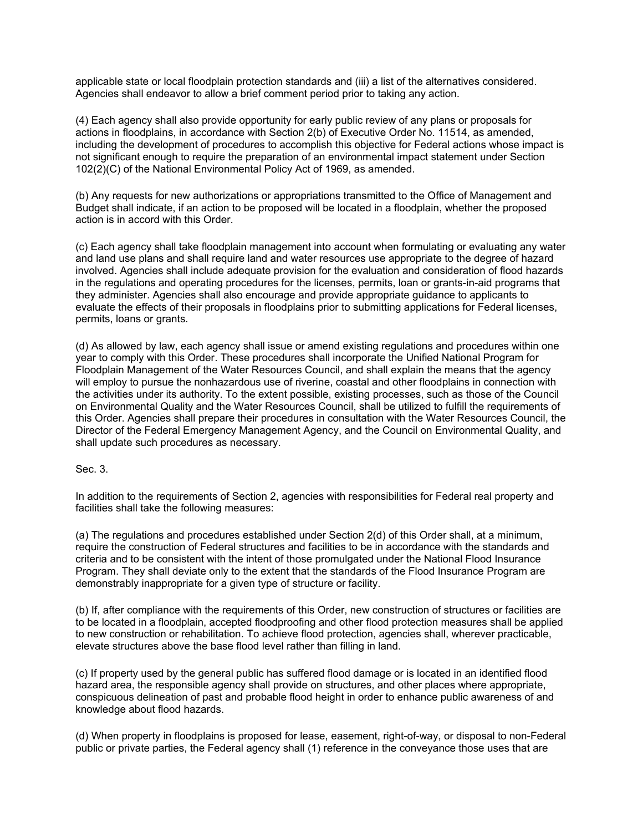applicable state or local floodplain protection standards and (iii) a list of the alternatives considered. Agencies shall endeavor to allow a brief comment period prior to taking any action.

(4) Each agency shall also provide opportunity for early public review of any plans or proposals for actions in floodplains, in accordance with Section 2(b) of Executive Order No. 11514, as amended, including the development of procedures to accomplish this objective for Federal actions whose impact is not significant enough to require the preparation of an environmental impact statement under Section 102(2)(C) of the National Environmental Policy Act of 1969, as amended.

(b) Any requests for new authorizations or appropriations transmitted to the Office of Management and Budget shall indicate, if an action to be proposed will be located in a floodplain, whether the proposed action is in accord with this Order.

(c) Each agency shall take floodplain management into account when formulating or evaluating any water and land use plans and shall require land and water resources use appropriate to the degree of hazard involved. Agencies shall include adequate provision for the evaluation and consideration of flood hazards in the regulations and operating procedures for the licenses, permits, loan or grants-in-aid programs that they administer. Agencies shall also encourage and provide appropriate guidance to applicants to evaluate the effects of their proposals in floodplains prior to submitting applications for Federal licenses, permits, loans or grants.

(d) As allowed by law, each agency shall issue or amend existing regulations and procedures within one year to comply with this Order. These procedures shall incorporate the Unified National Program for Floodplain Management of the Water Resources Council, and shall explain the means that the agency will employ to pursue the nonhazardous use of riverine, coastal and other floodplains in connection with the activities under its authority. To the extent possible, existing processes, such as those of the Council on Environmental Quality and the Water Resources Council, shall be utilized to fulfill the requirements of this Order. Agencies shall prepare their procedures in consultation with the Water Resources Council, the Director of the Federal Emergency Management Agency, and the Council on Environmental Quality, and shall update such procedures as necessary.

Sec. 3.

In addition to the requirements of Section 2, agencies with responsibilities for Federal real property and facilities shall take the following measures:

(a) The regulations and procedures established under Section 2(d) of this Order shall, at a minimum, require the construction of Federal structures and facilities to be in accordance with the standards and criteria and to be consistent with the intent of those promulgated under the National Flood Insurance Program. They shall deviate only to the extent that the standards of the Flood Insurance Program are demonstrably inappropriate for a given type of structure or facility.

(b) If, after compliance with the requirements of this Order, new construction of structures or facilities are to be located in a floodplain, accepted floodproofing and other flood protection measures shall be applied to new construction or rehabilitation. To achieve flood protection, agencies shall, wherever practicable, elevate structures above the base flood level rather than filling in land.

(c) If property used by the general public has suffered flood damage or is located in an identified flood hazard area, the responsible agency shall provide on structures, and other places where appropriate, conspicuous delineation of past and probable flood height in order to enhance public awareness of and knowledge about flood hazards.

(d) When property in floodplains is proposed for lease, easement, right-of-way, or disposal to non-Federal public or private parties, the Federal agency shall (1) reference in the conveyance those uses that are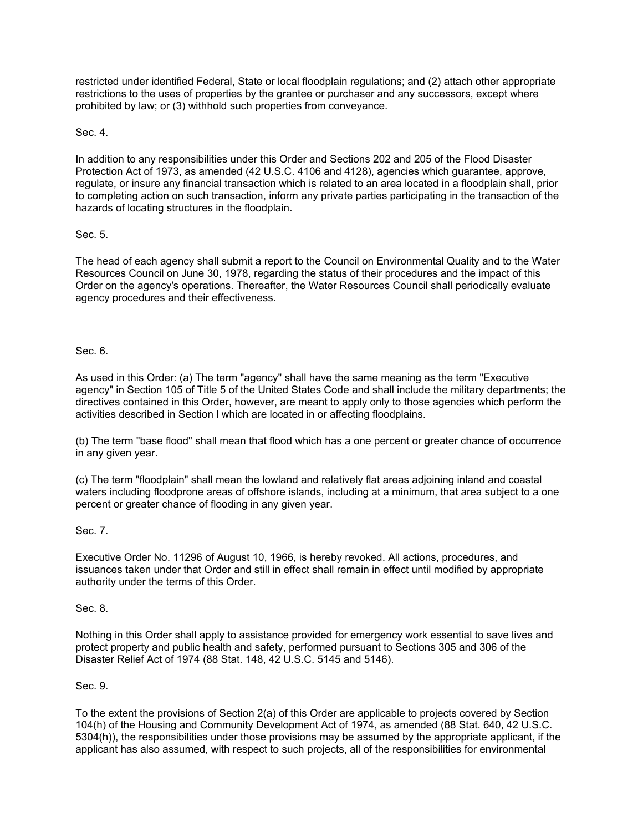restricted under identified Federal, State or local floodplain regulations; and (2) attach other appropriate restrictions to the uses of properties by the grantee or purchaser and any successors, except where prohibited by law; or (3) withhold such properties from conveyance.

# Sec. 4.

In addition to any responsibilities under this Order and Sections 202 and 205 of the Flood Disaster Protection Act of 1973, as amended (42 U.S.C. 4106 and 4128), agencies which guarantee, approve, regulate, or insure any financial transaction which is related to an area located in a floodplain shall, prior to completing action on such transaction, inform any private parties participating in the transaction of the hazards of locating structures in the floodplain.

# Sec. 5.

The head of each agency shall submit a report to the Council on Environmental Quality and to the Water Resources Council on June 30, 1978, regarding the status of their procedures and the impact of this Order on the agency's operations. Thereafter, the Water Resources Council shall periodically evaluate agency procedures and their effectiveness.

## Sec. 6.

As used in this Order: (a) The term "agency" shall have the same meaning as the term "Executive agency" in Section 105 of Title 5 of the United States Code and shall include the military departments; the directives contained in this Order, however, are meant to apply only to those agencies which perform the activities described in Section l which are located in or affecting floodplains.

(b) The term "base flood" shall mean that flood which has a one percent or greater chance of occurrence in any given year.

(c) The term "floodplain" shall mean the lowland and relatively flat areas adjoining inland and coastal waters including floodprone areas of offshore islands, including at a minimum, that area subject to a one percent or greater chance of flooding in any given year.

## Sec. 7.

Executive Order No. 11296 of August 10, 1966, is hereby revoked. All actions, procedures, and issuances taken under that Order and still in effect shall remain in effect until modified by appropriate authority under the terms of this Order.

## Sec. 8.

Nothing in this Order shall apply to assistance provided for emergency work essential to save lives and protect property and public health and safety, performed pursuant to Sections 305 and 306 of the Disaster Relief Act of 1974 (88 Stat. 148, 42 U.S.C. 5145 and 5146).

## Sec. 9.

To the extent the provisions of Section 2(a) of this Order are applicable to projects covered by Section 104(h) of the Housing and Community Development Act of 1974, as amended (88 Stat. 640, 42 U.S.C. 5304(h)), the responsibilities under those provisions may be assumed by the appropriate applicant, if the applicant has also assumed, with respect to such projects, all of the responsibilities for environmental